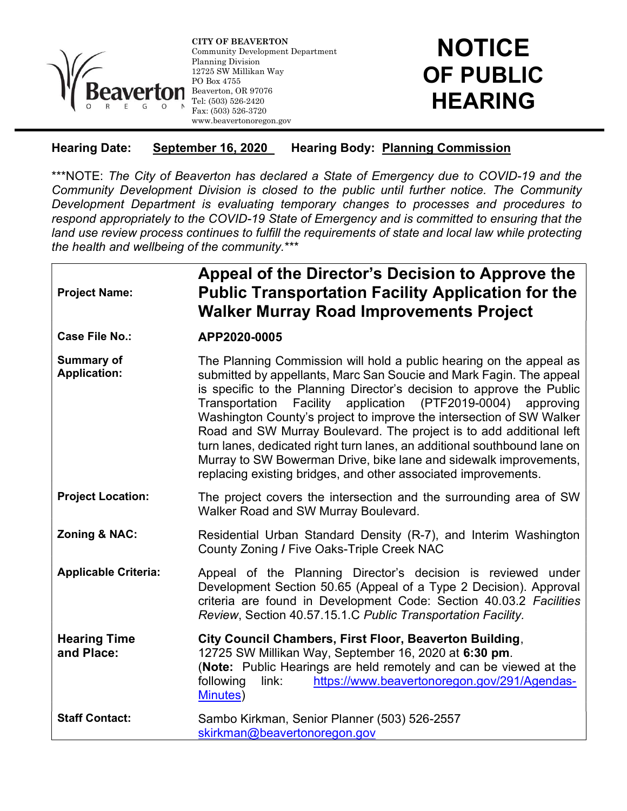

CITY OF BEAVERTON Community Development Department Planning Division 12725 SW Millikan Way PO Box 4755 Beaverton, OR 97076 Tel: (503) 526-2420 Fax: (503) 526-3720 www.beavertonoregon.gov

## **NOTICE** OF PUBLIC HEARING

## Hearing Date: September 16, 2020 Hearing Body: Planning Commission

\*\*\*NOTE: The City of Beaverton has declared a State of Emergency due to COVID-19 and the Community Development Division is closed to the public until further notice. The Community Development Department is evaluating temporary changes to processes and procedures to respond appropriately to the COVID-19 State of Emergency and is committed to ensuring that the land use review process continues to fulfill the requirements of state and local law while protecting the health and wellbeing of the community.\*\*\*

ı

| <b>Project Name:</b>              | Appeal of the Director's Decision to Approve the<br><b>Public Transportation Facility Application for the</b><br><b>Walker Murray Road Improvements Project</b>                                                                                                                                                                                                                                                                                                                                                                                                                                                                                       |
|-----------------------------------|-------------------------------------------------------------------------------------------------------------------------------------------------------------------------------------------------------------------------------------------------------------------------------------------------------------------------------------------------------------------------------------------------------------------------------------------------------------------------------------------------------------------------------------------------------------------------------------------------------------------------------------------------------|
| <b>Case File No.:</b>             | APP2020-0005                                                                                                                                                                                                                                                                                                                                                                                                                                                                                                                                                                                                                                          |
| Summary of<br><b>Application:</b> | The Planning Commission will hold a public hearing on the appeal as<br>submitted by appellants, Marc San Soucie and Mark Fagin. The appeal<br>is specific to the Planning Director's decision to approve the Public<br>Transportation Facility application (PTF2019-0004) approving<br>Washington County's project to improve the intersection of SW Walker<br>Road and SW Murray Boulevard. The project is to add additional left<br>turn lanes, dedicated right turn lanes, an additional southbound lane on<br>Murray to SW Bowerman Drive, bike lane and sidewalk improvements,<br>replacing existing bridges, and other associated improvements. |
| <b>Project Location:</b>          | The project covers the intersection and the surrounding area of SW<br>Walker Road and SW Murray Boulevard.                                                                                                                                                                                                                                                                                                                                                                                                                                                                                                                                            |
| Zoning & NAC:                     | Residential Urban Standard Density (R-7), and Interim Washington<br>County Zoning / Five Oaks-Triple Creek NAC                                                                                                                                                                                                                                                                                                                                                                                                                                                                                                                                        |
| <b>Applicable Criteria:</b>       | Appeal of the Planning Director's decision is reviewed under<br>Development Section 50.65 (Appeal of a Type 2 Decision). Approval<br>criteria are found in Development Code: Section 40.03.2 Facilities<br>Review, Section 40.57.15.1.C Public Transportation Facility.                                                                                                                                                                                                                                                                                                                                                                               |
| <b>Hearing Time</b><br>and Place: | City Council Chambers, First Floor, Beaverton Building,<br>12725 SW Millikan Way, September 16, 2020 at 6:30 pm.<br>(Note: Public Hearings are held remotely and can be viewed at the<br>following<br>link:<br>https://www.beavertonoregon.gov/291/Agendas-<br>Minutes)                                                                                                                                                                                                                                                                                                                                                                               |
| <b>Staff Contact:</b>             | Sambo Kirkman, Senior Planner (503) 526-2557<br>skirkman@beavertonoregon.gov                                                                                                                                                                                                                                                                                                                                                                                                                                                                                                                                                                          |